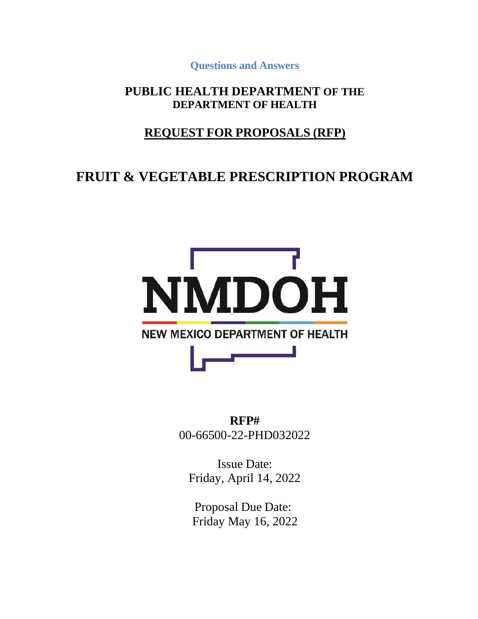**Questions and Answers**

#### **PUBLIC HEALTH DEPARTMENT OF THE DEPARTMENT OF HEALTH**

### **REQUEST FOR PROPOSALS (RFP)**

# **FRUIT & VEGETABLE PRESCRIPTION PROGRAM**



**RFP#** 00-66500-22-PHD032022

Issue Date: Friday, April 14, 2022

Proposal Due Date: Friday May 16, 2022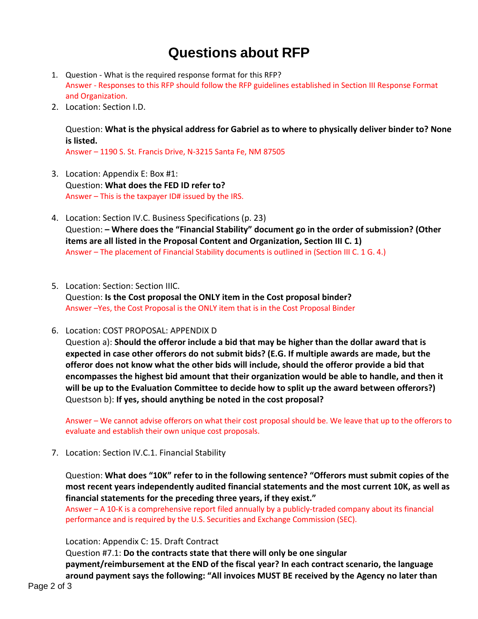# **Questions about RFP**

- 1. Question What is the required response format for this RFP? Answer - Responses to this RFP should follow the RFP guidelines established in Section III Response Format and Organization.
- 2. Location: Section I.D.

Question: **What is the physical address for Gabriel as to where to physically deliver binder to? None is listed.**

Answer – 1190 S. St. Francis Drive, N-3215 Santa Fe, NM 87505

- 3. Location: Appendix E: Box #1: Question: **What does the FED ID refer to?**  Answer – This is the taxpayer ID# issued by the IRS.
- 4. Location: Section IV.C. Business Specifications (p. 23) Question: **– Where does the "Financial Stability" document go in the order of submission? (Other items are all listed in the Proposal Content and Organization, Section III C. 1)** Answer – The placement of Financial Stability documents is outlined in (Section III C. 1 G. 4.)
- 5. Location: Section: Section IIIC.

Question: **Is the Cost proposal the ONLY item in the Cost proposal binder?** Answer –Yes, the Cost Proposal is the ONLY item that is in the Cost Proposal Binder

6. Location: COST PROPOSAL: APPENDIX D

Question a): **Should the offeror include a bid that may be higher than the dollar award that is expected in case other offerors do not submit bids? (E.G. If multiple awards are made, but the offeror does not know what the other bids will include, should the offeror provide a bid that encompasses the highest bid amount that their organization would be able to handle, and then it will be up to the Evaluation Committee to decide how to split up the award between offerors?)**  Questson b): **If yes, should anything be noted in the cost proposal?**

Answer – We cannot advise offerors on what their cost proposal should be. We leave that up to the offerors to evaluate and establish their own unique cost proposals.

7. Location: Section IV.C.1. Financial Stability

Question: **What does "10K" refer to in the following sentence? "Offerors must submit copies of the most recent years independently audited financial statements and the most current 10K, as well as financial statements for the preceding three years, if they exist."**

Answer – A 10-K is a comprehensive report filed annually by a publicly-traded company about its financial performance and is required by the U.S. Securities and Exchange Commission (SEC).

#### Location: Appendix C: 15. Draft Contract

Question #7.1: **Do the contracts state that there will only be one singular payment/reimbursement at the END of the fiscal year? In each contract scenario, the language around payment says the following: "All invoices MUST BE received by the Agency no later than**